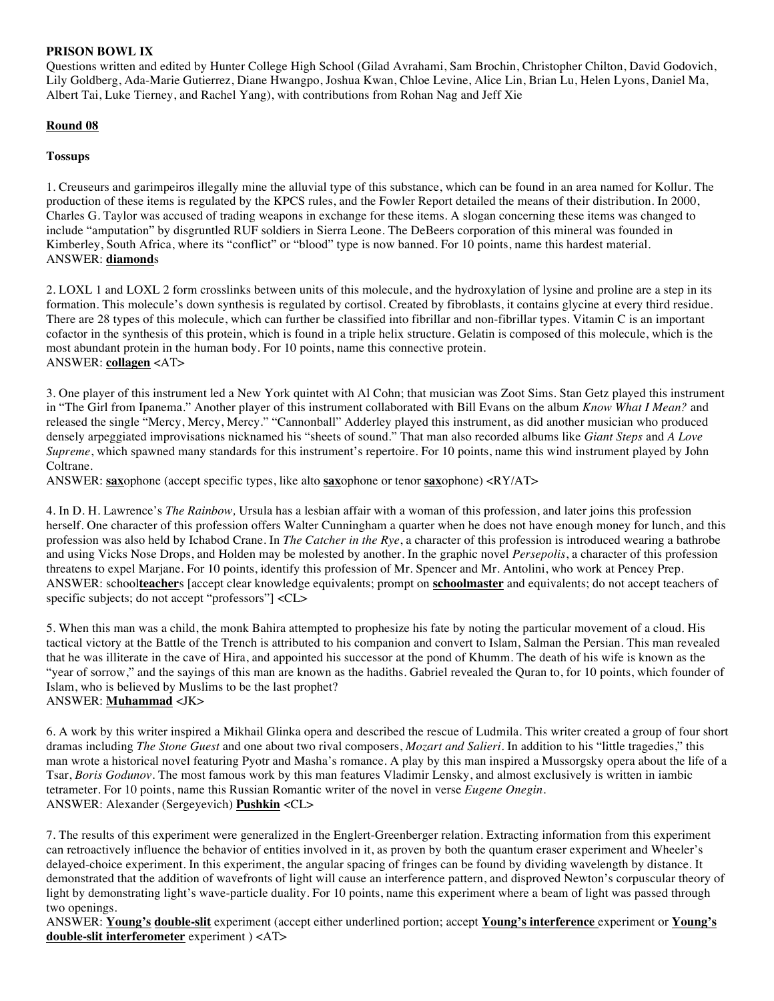### **PRISON BOWL IX**

Questions written and edited by Hunter College High School (Gilad Avrahami, Sam Brochin, Christopher Chilton, David Godovich, Lily Goldberg, Ada-Marie Gutierrez, Diane Hwangpo, Joshua Kwan, Chloe Levine, Alice Lin, Brian Lu, Helen Lyons, Daniel Ma, Albert Tai, Luke Tierney, and Rachel Yang), with contributions from Rohan Nag and Jeff Xie

# **Round 08**

### **Tossups**

1. Creuseurs and garimpeiros illegally mine the alluvial type of this substance, which can be found in an area named for Kollur. The production of these items is regulated by the KPCS rules, and the Fowler Report detailed the means of their distribution. In 2000, Charles G. Taylor was accused of trading weapons in exchange for these items. A slogan concerning these items was changed to include "amputation" by disgruntled RUF soldiers in Sierra Leone. The DeBeers corporation of this mineral was founded in Kimberley, South Africa, where its "conflict" or "blood" type is now banned. For 10 points, name this hardest material. ANSWER: **diamond**s

2. LOXL 1 and LOXL 2 form crosslinks between units of this molecule, and the hydroxylation of lysine and proline are a step in its formation. This molecule's down synthesis is regulated by cortisol. Created by fibroblasts, it contains glycine at every third residue. There are 28 types of this molecule, which can further be classified into fibrillar and non-fibrillar types. Vitamin C is an important cofactor in the synthesis of this protein, which is found in a triple helix structure. Gelatin is composed of this molecule, which is the most abundant protein in the human body. For 10 points, name this connective protein. ANSWER: **collagen** <AT>

3. One player of this instrument led a New York quintet with Al Cohn; that musician was Zoot Sims. Stan Getz played this instrument in "The Girl from Ipanema." Another player of this instrument collaborated with Bill Evans on the album *Know What I Mean?* and released the single "Mercy, Mercy, Mercy." "Cannonball" Adderley played this instrument, as did another musician who produced densely arpeggiated improvisations nicknamed his "sheets of sound." That man also recorded albums like *Giant Steps* and *A Love Supreme*, which spawned many standards for this instrument's repertoire. For 10 points, name this wind instrument played by John Coltrane.

ANSWER: **sax**ophone (accept specific types, like alto **sax**ophone or tenor **sax**ophone) <RY/AT>

4. In D. H. Lawrence's *The Rainbow,* Ursula has a lesbian affair with a woman of this profession, and later joins this profession herself. One character of this profession offers Walter Cunningham a quarter when he does not have enough money for lunch, and this profession was also held by Ichabod Crane. In *The Catcher in the Rye*, a character of this profession is introduced wearing a bathrobe and using Vicks Nose Drops, and Holden may be molested by another. In the graphic novel *Persepolis*, a character of this profession threatens to expel Marjane. For 10 points, identify this profession of Mr. Spencer and Mr. Antolini, who work at Pencey Prep. ANSWER: school**teacher**s [accept clear knowledge equivalents; prompt on **schoolmaster** and equivalents; do not accept teachers of specific subjects; do not accept "professors"] <CL>

5. When this man was a child, the monk Bahira attempted to prophesize his fate by noting the particular movement of a cloud. His tactical victory at the Battle of the Trench is attributed to his companion and convert to Islam, Salman the Persian. This man revealed that he was illiterate in the cave of Hira, and appointed his successor at the pond of Khumm. The death of his wife is known as the "year of sorrow," and the sayings of this man are known as the hadiths. Gabriel revealed the Quran to, for 10 points, which founder of Islam, who is believed by Muslims to be the last prophet? ANSWER: **Muhammad** <JK>

6. A work by this writer inspired a Mikhail Glinka opera and described the rescue of Ludmila. This writer created a group of four short dramas including *The Stone Guest* and one about two rival composers, *Mozart and Salieri*. In addition to his "little tragedies," this man wrote a historical novel featuring Pyotr and Masha's romance. A play by this man inspired a Mussorgsky opera about the life of a Tsar, *Boris Godunov*. The most famous work by this man features Vladimir Lensky, and almost exclusively is written in iambic tetrameter. For 10 points, name this Russian Romantic writer of the novel in verse *Eugene Onegin*. ANSWER: Alexander (Sergeyevich) **Pushkin** <CL>

7. The results of this experiment were generalized in the Englert-Greenberger relation. Extracting information from this experiment can retroactively influence the behavior of entities involved in it, as proven by both the quantum eraser experiment and Wheeler's delayed-choice experiment. In this experiment, the angular spacing of fringes can be found by dividing wavelength by distance. It demonstrated that the addition of wavefronts of light will cause an interference pattern, and disproved Newton's corpuscular theory of light by demonstrating light's wave-particle duality. For 10 points, name this experiment where a beam of light was passed through two openings.

ANSWER: **Young's double-slit** experiment (accept either underlined portion; accept **Young's interference** experiment or **Young's double-slit interferometer** experiment ) <AT>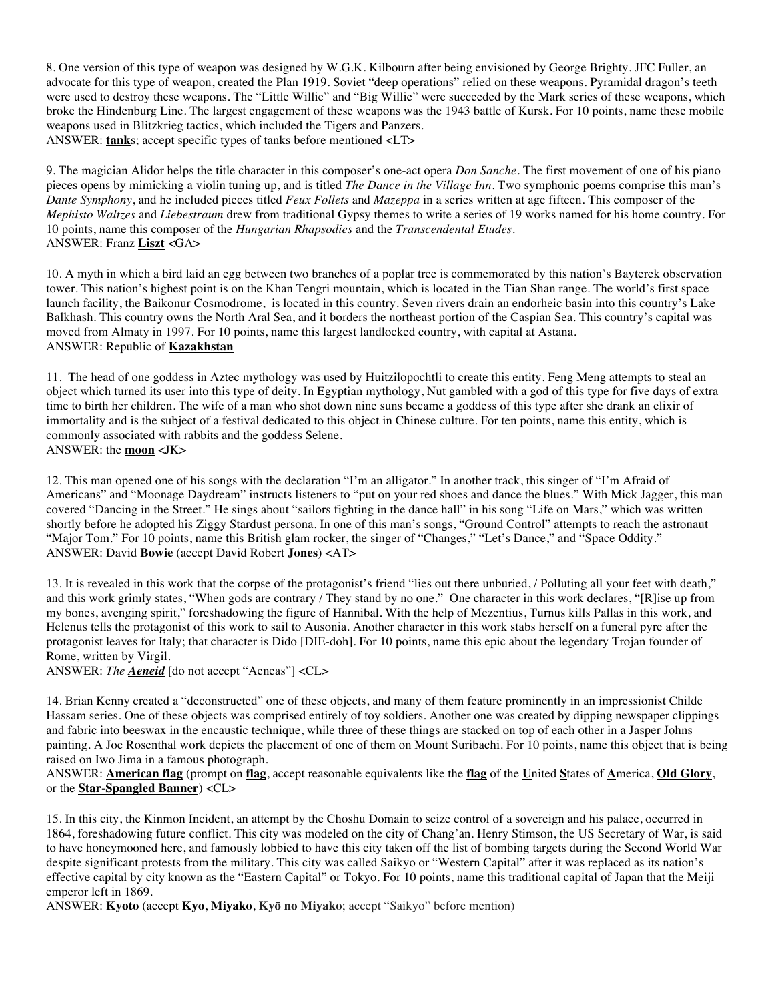8. One version of this type of weapon was designed by W.G.K. Kilbourn after being envisioned by George Brighty. JFC Fuller, an advocate for this type of weapon, created the Plan 1919. Soviet "deep operations" relied on these weapons. Pyramidal dragon's teeth were used to destroy these weapons. The "Little Willie" and "Big Willie" were succeeded by the Mark series of these weapons, which broke the Hindenburg Line. The largest engagement of these weapons was the 1943 battle of Kursk. For 10 points, name these mobile weapons used in Blitzkrieg tactics, which included the Tigers and Panzers. ANSWER: **tank**s; accept specific types of tanks before mentioned <LT>

9. The magician Alidor helps the title character in this composer's one-act opera *Don Sanche*. The first movement of one of his piano pieces opens by mimicking a violin tuning up, and is titled *The Dance in the Village Inn*. Two symphonic poems comprise this man's *Dante Symphony*, and he included pieces titled *Feux Follets* and *Mazeppa* in a series written at age fifteen. This composer of the *Mephisto Waltzes* and *Liebestraum* drew from traditional Gypsy themes to write a series of 19 works named for his home country. For 10 points, name this composer of the *Hungarian Rhapsodies* and the *Transcendental Etudes*. ANSWER: Franz **Liszt** <GA>

10. A myth in which a bird laid an egg between two branches of a poplar tree is commemorated by this nation's Bayterek observation tower. This nation's highest point is on the Khan Tengri mountain, which is located in the Tian Shan range. The world's first space launch facility, the Baikonur Cosmodrome, is located in this country. Seven rivers drain an endorheic basin into this country's Lake Balkhash. This country owns the North Aral Sea, and it borders the northeast portion of the Caspian Sea. This country's capital was moved from Almaty in 1997. For 10 points, name this largest landlocked country, with capital at Astana. ANSWER: Republic of **Kazakhstan**

11. The head of one goddess in Aztec mythology was used by Huitzilopochtli to create this entity. Feng Meng attempts to steal an object which turned its user into this type of deity. In Egyptian mythology, Nut gambled with a god of this type for five days of extra time to birth her children. The wife of a man who shot down nine suns became a goddess of this type after she drank an elixir of immortality and is the subject of a festival dedicated to this object in Chinese culture. For ten points, name this entity, which is commonly associated with rabbits and the goddess Selene. ANSWER: the **moon** <JK>

12. This man opened one of his songs with the declaration "I'm an alligator." In another track, this singer of "I'm Afraid of Americans" and "Moonage Daydream" instructs listeners to "put on your red shoes and dance the blues." With Mick Jagger, this man covered "Dancing in the Street." He sings about "sailors fighting in the dance hall" in his song "Life on Mars," which was written shortly before he adopted his Ziggy Stardust persona. In one of this man's songs, "Ground Control" attempts to reach the astronaut "Major Tom." For 10 points, name this British glam rocker, the singer of "Changes," "Let's Dance," and "Space Oddity." ANSWER: David **Bowie** (accept David Robert **Jones**) <AT>

13. It is revealed in this work that the corpse of the protagonist's friend "lies out there unburied, / Polluting all your feet with death," and this work grimly states, "When gods are contrary / They stand by no one." One character in this work declares, "[R]ise up from my bones, avenging spirit," foreshadowing the figure of Hannibal. With the help of Mezentius, Turnus kills Pallas in this work, and Helenus tells the protagonist of this work to sail to Ausonia. Another character in this work stabs herself on a funeral pyre after the protagonist leaves for Italy; that character is Dido [DIE-doh]. For 10 points, name this epic about the legendary Trojan founder of Rome, written by Virgil.

ANSWER: *The Aeneid* [do not accept "Aeneas"] <CL>

14. Brian Kenny created a "deconstructed" one of these objects, and many of them feature prominently in an impressionist Childe Hassam series. One of these objects was comprised entirely of toy soldiers. Another one was created by dipping newspaper clippings and fabric into beeswax in the encaustic technique, while three of these things are stacked on top of each other in a Jasper Johns painting. A Joe Rosenthal work depicts the placement of one of them on Mount Suribachi. For 10 points, name this object that is being raised on Iwo Jima in a famous photograph.

ANSWER: **American flag** (prompt on **flag**, accept reasonable equivalents like the **flag** of the **U**nited **S**tates of **A**merica, **Old Glory**, or the **Star-Spangled Banner**) <CL>

15. In this city, the Kinmon Incident, an attempt by the Choshu Domain to seize control of a sovereign and his palace, occurred in 1864, foreshadowing future conflict. This city was modeled on the city of Chang'an. Henry Stimson, the US Secretary of War, is said to have honeymooned here, and famously lobbied to have this city taken off the list of bombing targets during the Second World War despite significant protests from the military. This city was called Saikyo or "Western Capital" after it was replaced as its nation's effective capital by city known as the "Eastern Capital" or Tokyo. For 10 points, name this traditional capital of Japan that the Meiji emperor left in 1869.

ANSWER: **Kyoto** (accept **Kyo**, **Miyako**, **Kyō no Miyako**; accept "Saikyo" before mention)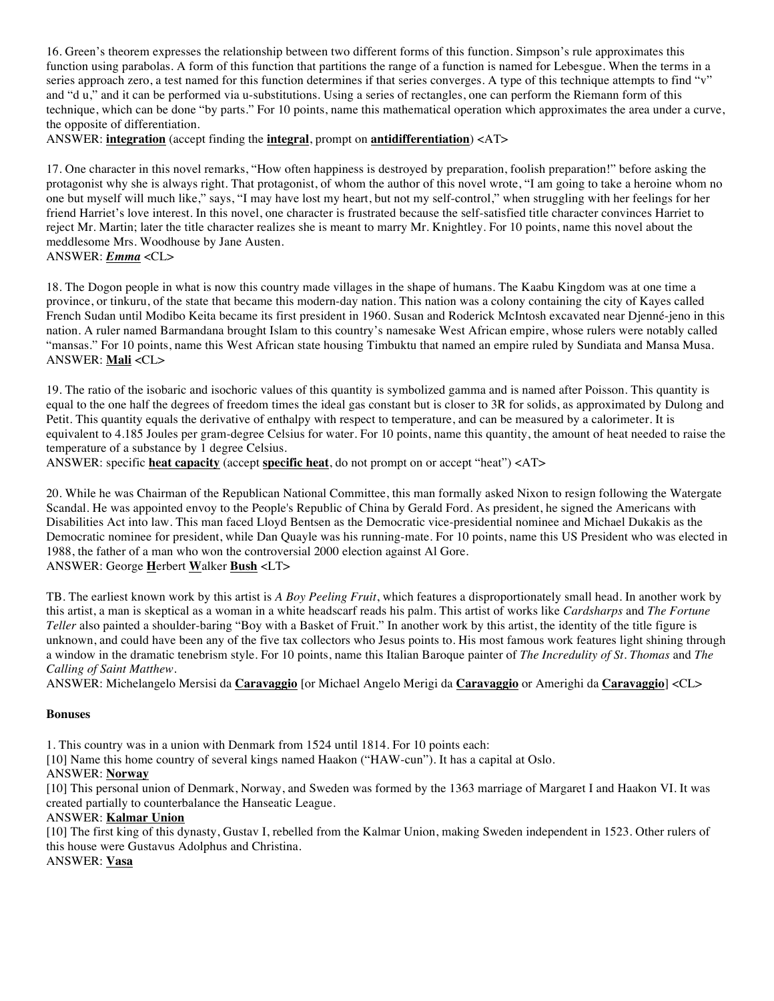16. Green's theorem expresses the relationship between two different forms of this function. Simpson's rule approximates this function using parabolas. A form of this function that partitions the range of a function is named for Lebesgue. When the terms in a series approach zero, a test named for this function determines if that series converges. A type of this technique attempts to find "v" and "d u," and it can be performed via u-substitutions. Using a series of rectangles, one can perform the Riemann form of this technique, which can be done "by parts." For 10 points, name this mathematical operation which approximates the area under a curve, the opposite of differentiation.

ANSWER: **integration** (accept finding the **integral**, prompt on **antidifferentiation**) <AT>

17. One character in this novel remarks, "How often happiness is destroyed by preparation, foolish preparation!" before asking the protagonist why she is always right. That protagonist, of whom the author of this novel wrote, "I am going to take a heroine whom no one but myself will much like," says, "I may have lost my heart, but not my self-control," when struggling with her feelings for her friend Harriet's love interest. In this novel, one character is frustrated because the self-satisfied title character convinces Harriet to reject Mr. Martin; later the title character realizes she is meant to marry Mr. Knightley. For 10 points, name this novel about the meddlesome Mrs. Woodhouse by Jane Austen. ANSWER: *Emma* <CL>

18. The Dogon people in what is now this country made villages in the shape of humans. The Kaabu Kingdom was at one time a province, or tinkuru, of the state that became this modern-day nation. This nation was a colony containing the city of Kayes called French Sudan until Modibo Keita became its first president in 1960. Susan and Roderick McIntosh excavated near Djenné-jeno in this nation. A ruler named Barmandana brought Islam to this country's namesake West African empire, whose rulers were notably called "mansas." For 10 points, name this West African state housing Timbuktu that named an empire ruled by Sundiata and Mansa Musa. ANSWER: **Mali** <CL>

19. The ratio of the isobaric and isochoric values of this quantity is symbolized gamma and is named after Poisson. This quantity is equal to the one half the degrees of freedom times the ideal gas constant but is closer to 3R for solids, as approximated by Dulong and Petit. This quantity equals the derivative of enthalpy with respect to temperature, and can be measured by a calorimeter. It is equivalent to 4.185 Joules per gram-degree Celsius for water. For 10 points, name this quantity, the amount of heat needed to raise the temperature of a substance by 1 degree Celsius.

ANSWER: specific **heat capacity** (accept **specific heat**, do not prompt on or accept "heat") <AT>

20. While he was Chairman of the Republican National Committee, this man formally asked Nixon to resign following the Watergate Scandal. He was appointed envoy to the People's Republic of China by Gerald Ford. As president, he signed the Americans with Disabilities Act into law. This man faced Lloyd Bentsen as the Democratic vice-presidential nominee and Michael Dukakis as the Democratic nominee for president, while Dan Quayle was his running-mate. For 10 points, name this US President who was elected in 1988, the father of a man who won the controversial 2000 election against Al Gore. ANSWER: George **H**erbert **W**alker **Bush** <LT>

TB. The earliest known work by this artist is *A Boy Peeling Fruit*, which features a disproportionately small head. In another work by this artist, a man is skeptical as a woman in a white headscarf reads his palm. This artist of works like *Cardsharps* and *The Fortune Teller* also painted a shoulder-baring "Boy with a Basket of Fruit." In another work by this artist, the identity of the title figure is unknown, and could have been any of the five tax collectors who Jesus points to. His most famous work features light shining through a window in the dramatic tenebrism style. For 10 points, name this Italian Baroque painter of *The Incredulity of St. Thomas* and *The Calling of Saint Matthew*.

ANSWER: Michelangelo Mersisi da **Caravaggio** [or Michael Angelo Merigi da **Caravaggio** or Amerighi da **Caravaggio**] <CL>

#### **Bonuses**

1. This country was in a union with Denmark from 1524 until 1814. For 10 points each:

[10] Name this home country of several kings named Haakon ("HAW-cun"). It has a capital at Oslo.

#### ANSWER: **Norway**

[10] This personal union of Denmark, Norway, and Sweden was formed by the 1363 marriage of Margaret I and Haakon VI. It was created partially to counterbalance the Hanseatic League.

#### ANSWER: **Kalmar Union**

[10] The first king of this dynasty, Gustav I, rebelled from the Kalmar Union, making Sweden independent in 1523. Other rulers of this house were Gustavus Adolphus and Christina.

ANSWER: **Vasa**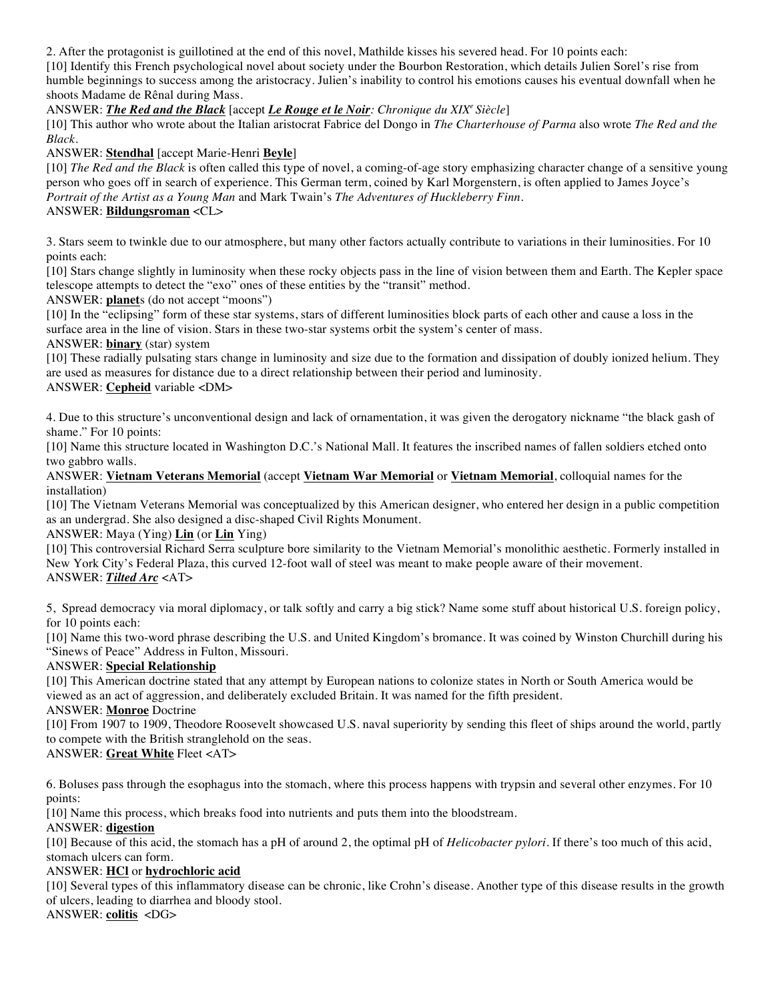2. After the protagonist is guillotined at the end of this novel, Mathilde kisses his severed head. For 10 points each:

[10] Identify this French psychological novel about society under the Bourbon Restoration, which details Julien Sorel's rise from humble beginnings to success among the aristocracy. Julien's inability to control his emotions causes his eventual downfall when he shoots Madame de Rênal during Mass.

ANSWER: *The Red and the Black* [accept *Le Rouge et le Noir: Chronique du XIXe Siècle*]

[10] This author who wrote about the Italian aristocrat Fabrice del Dongo in *The Charterhouse of Parma* also wrote *The Red and the Black*.

ANSWER: **Stendhal** [accept Marie-Henri **Beyle**]

[10] *The Red and the Black* is often called this type of novel, a coming-of-age story emphasizing character change of a sensitive young person who goes off in search of experience. This German term, coined by Karl Morgenstern, is often applied to James Joyce's *Portrait of the Artist as a Young Man* and Mark Twain's *The Adventures of Huckleberry Finn*. ANSWER: **Bildungsroman** <CL>

3. Stars seem to twinkle due to our atmosphere, but many other factors actually contribute to variations in their luminosities. For 10 points each:

[10] Stars change slightly in luminosity when these rocky objects pass in the line of vision between them and Earth. The Kepler space telescope attempts to detect the "exo" ones of these entities by the "transit" method.

ANSWER: **planet**s (do not accept "moons")

[10] In the "eclipsing" form of these star systems, stars of different luminosities block parts of each other and cause a loss in the surface area in the line of vision. Stars in these two-star systems orbit the system's center of mass.

ANSWER: **binary** (star) system

[10] These radially pulsating stars change in luminosity and size due to the formation and dissipation of doubly ionized helium. They are used as measures for distance due to a direct relationship between their period and luminosity. ANSWER: **Cepheid** variable <DM>

4. Due to this structure's unconventional design and lack of ornamentation, it was given the derogatory nickname "the black gash of shame." For 10 points:

[10] Name this structure located in Washington D.C.'s National Mall. It features the inscribed names of fallen soldiers etched onto two gabbro walls.

ANSWER: **Vietnam Veterans Memorial** (accept **Vietnam War Memorial** or **Vietnam Memorial**, colloquial names for the installation)

[10] The Vietnam Veterans Memorial was conceptualized by this American designer, who entered her design in a public competition as an undergrad. She also designed a disc-shaped Civil Rights Monument.

ANSWER: Maya (Ying) **Lin** (or **Lin** Ying)

[10] This controversial Richard Serra sculpture bore similarity to the Vietnam Memorial's monolithic aesthetic. Formerly installed in New York City's Federal Plaza, this curved 12-foot wall of steel was meant to make people aware of their movement. ANSWER: *Tilted Arc* <AT>

5, Spread democracy via moral diplomacy, or talk softly and carry a big stick? Name some stuff about historical U.S. foreign policy, for 10 points each:

[10] Name this two-word phrase describing the U.S. and United Kingdom's bromance. It was coined by Winston Churchill during his "Sinews of Peace" Address in Fulton, Missouri.

ANSWER: **Special Relationship**

[10] This American doctrine stated that any attempt by European nations to colonize states in North or South America would be viewed as an act of aggression, and deliberately excluded Britain. It was named for the fifth president.

ANSWER: **Monroe** Doctrine

[10] From 1907 to 1909, Theodore Roosevelt showcased U.S. naval superiority by sending this fleet of ships around the world, partly to compete with the British stranglehold on the seas.

ANSWER: **Great White** Fleet <AT>

6. Boluses pass through the esophagus into the stomach, where this process happens with trypsin and several other enzymes. For 10 points:

[10] Name this process, which breaks food into nutrients and puts them into the bloodstream.

#### ANSWER: **digestion**

[10] Because of this acid, the stomach has a pH of around 2, the optimal pH of *Helicobacter pylori*. If there's too much of this acid, stomach ulcers can form.

#### ANSWER: **HCl** or **hydrochloric acid**

[10] Several types of this inflammatory disease can be chronic, like Crohn's disease. Another type of this disease results in the growth of ulcers, leading to diarrhea and bloody stool.

ANSWER: **colitis** <DG>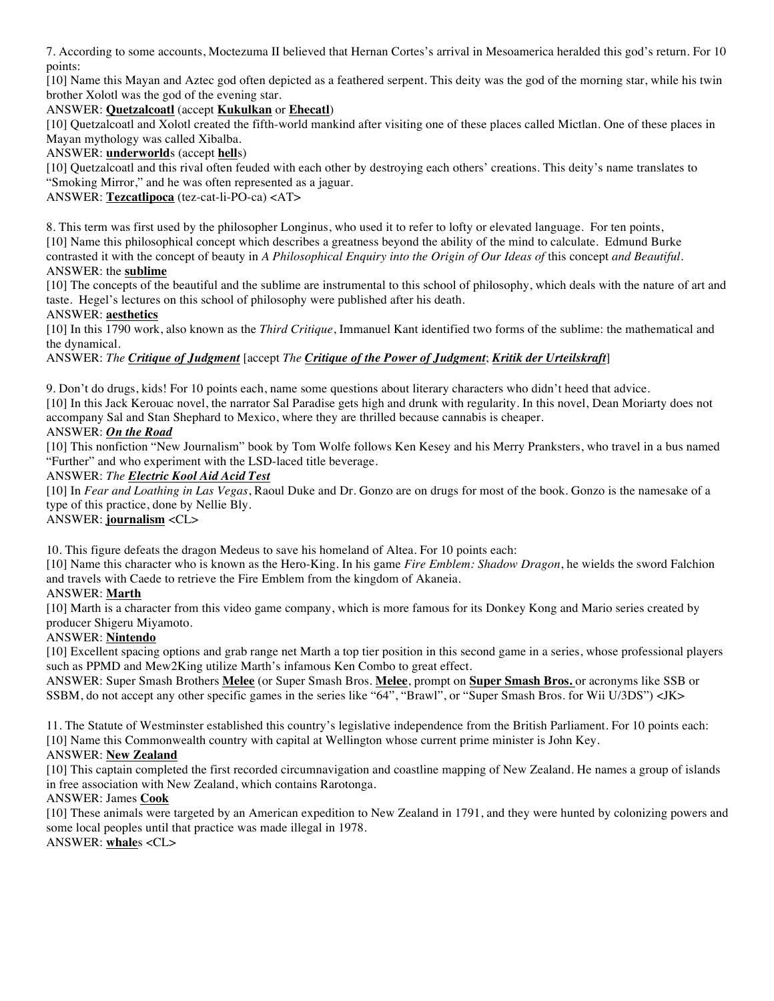7. According to some accounts, Moctezuma II believed that Hernan Cortes's arrival in Mesoamerica heralded this god's return. For 10 points:

[10] Name this Mayan and Aztec god often depicted as a feathered serpent. This deity was the god of the morning star, while his twin brother Xolotl was the god of the evening star.

### ANSWER: **Quetzalcoatl** (accept **Kukulkan** or **Ehecatl**)

[10] Quetzalcoatl and Xolotl created the fifth-world mankind after visiting one of these places called Mictlan. One of these places in Mayan mythology was called Xibalba.

### ANSWER: **underworld**s (accept **hell**s)

[10] Quetzalcoatl and this rival often feuded with each other by destroying each others' creations. This deity's name translates to "Smoking Mirror," and he was often represented as a jaguar.

ANSWER: **Tezcatlipoca** (tez-cat-li-PO-ca) <AT>

8. This term was first used by the philosopher Longinus, who used it to refer to lofty or elevated language. For ten points, [10] Name this philosophical concept which describes a greatness beyond the ability of the mind to calculate. Edmund Burke contrasted it with the concept of beauty in *A Philosophical Enquiry into the Origin of Our Ideas of this concept and Beautiful.* ANSWER: the **sublime**

[10] The concepts of the beautiful and the sublime are instrumental to this school of philosophy, which deals with the nature of art and taste. Hegel's lectures on this school of philosophy were published after his death.

### ANSWER: **aesthetics**

[10] In this 1790 work, also known as the *Third Critique*, Immanuel Kant identified two forms of the sublime: the mathematical and the dynamical.

# ANSWER: *The Critique of Judgment* [accept *The Critique of the Power of Judgment*; *Kritik der Urteilskraft*]

9. Don't do drugs, kids! For 10 points each, name some questions about literary characters who didn't heed that advice. [10] In this Jack Kerouac novel, the narrator Sal Paradise gets high and drunk with regularity. In this novel, Dean Moriarty does not accompany Sal and Stan Shephard to Mexico, where they are thrilled because cannabis is cheaper.

# ANSWER: *On the Road*

[10] This nonfiction "New Journalism" book by Tom Wolfe follows Ken Kesey and his Merry Pranksters, who travel in a bus named "Further" and who experiment with the LSD-laced title beverage.

# ANSWER: *The Electric Kool Aid Acid Test*

[10] In *Fear and Loathing in Las Vegas*, Raoul Duke and Dr. Gonzo are on drugs for most of the book. Gonzo is the namesake of a type of this practice, done by Nellie Bly.

#### ANSWER: **journalism** <CL>

10. This figure defeats the dragon Medeus to save his homeland of Altea. For 10 points each:

[10] Name this character who is known as the Hero-King. In his game *Fire Emblem: Shadow Dragon*, he wields the sword Falchion and travels with Caede to retrieve the Fire Emblem from the kingdom of Akaneia.

# ANSWER: **Marth**

[10] Marth is a character from this video game company, which is more famous for its Donkey Kong and Mario series created by producer Shigeru Miyamoto.

# ANSWER: **Nintendo**

[10] Excellent spacing options and grab range net Marth a top tier position in this second game in a series, whose professional players such as PPMD and Mew2King utilize Marth's infamous Ken Combo to great effect.

ANSWER: Super Smash Brothers **Melee** (or Super Smash Bros. **Melee**, prompt on **Super Smash Bros.** or acronyms like SSB or SSBM, do not accept any other specific games in the series like "64", "Brawl", or "Super Smash Bros. for Wii U/3DS") <JK>

11. The Statute of Westminster established this country's legislative independence from the British Parliament. For 10 points each: [10] Name this Commonwealth country with capital at Wellington whose current prime minister is John Key.

# ANSWER: **New Zealand**

[10] This captain completed the first recorded circumnavigation and coastline mapping of New Zealand. He names a group of islands in free association with New Zealand, which contains Rarotonga.

#### ANSWER: James **Cook**

[10] These animals were targeted by an American expedition to New Zealand in 1791, and they were hunted by colonizing powers and some local peoples until that practice was made illegal in 1978. ANSWER: **whale**s <CL>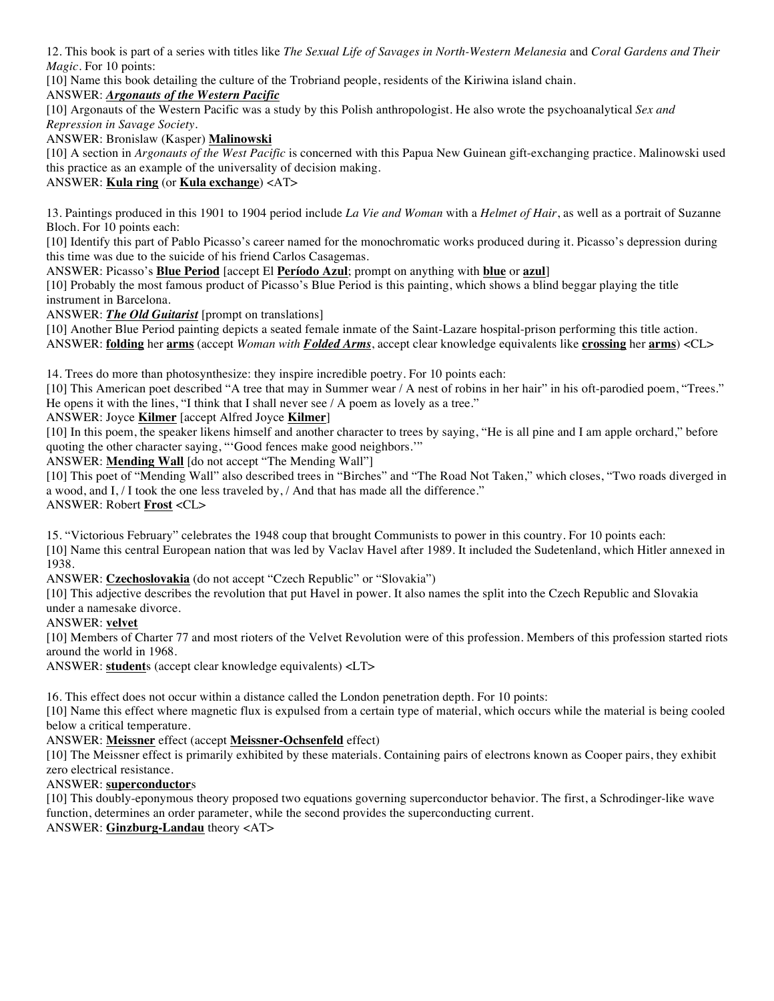12. This book is part of a series with titles like *The Sexual Life of Savages in North-Western Melanesia* and *Coral Gardens and Their Magic*. For 10 points:

[10] Name this book detailing the culture of the Trobriand people, residents of the Kiriwina island chain.

## ANSWER: *Argonauts of the Western Pacific*

[10] Argonauts of the Western Pacific was a study by this Polish anthropologist. He also wrote the psychoanalytical *Sex and Repression in Savage Society*.

#### ANSWER: Bronislaw (Kasper) **Malinowski**

[10] A section in *Argonauts of the West Pacific* is concerned with this Papua New Guinean gift-exchanging practice. Malinowski used this practice as an example of the universality of decision making.

# ANSWER: **Kula ring** (or **Kula exchange**) <AT>

13. Paintings produced in this 1901 to 1904 period include *La Vie and Woman* with a *Helmet of Hair*, as well as a portrait of Suzanne Bloch. For 10 points each:

[10] Identify this part of Pablo Picasso's career named for the monochromatic works produced during it. Picasso's depression during this time was due to the suicide of his friend Carlos Casagemas.

ANSWER: Picasso's **Blue Period** [accept El **Período Azul**; prompt on anything with **blue** or **azul**]

[10] Probably the most famous product of Picasso's Blue Period is this painting, which shows a blind beggar playing the title instrument in Barcelona.

ANSWER: *The Old Guitarist* [prompt on translations]

[10] Another Blue Period painting depicts a seated female inmate of the Saint-Lazare hospital-prison performing this title action. ANSWER: **folding** her **arms** (accept *Woman with Folded Arms*, accept clear knowledge equivalents like **crossing** her **arms**) <CL>

14. Trees do more than photosynthesize: they inspire incredible poetry. For 10 points each:

[10] This American poet described "A tree that may in Summer wear / A nest of robins in her hair" in his oft-parodied poem, "Trees." He opens it with the lines, "I think that I shall never see  $/$  A poem as lovely as a tree."

ANSWER: Joyce **Kilmer** [accept Alfred Joyce **Kilmer**]

[10] In this poem, the speaker likens himself and another character to trees by saying, "He is all pine and I am apple orchard," before quoting the other character saying, "'Good fences make good neighbors.'"

ANSWER: **Mending Wall** [do not accept "The Mending Wall"]

[10] This poet of "Mending Wall" also described trees in "Birches" and "The Road Not Taken," which closes, "Two roads diverged in a wood, and I, / I took the one less traveled by, / And that has made all the difference." ANSWER: Robert **Frost** <CL>

15. "Victorious February" celebrates the 1948 coup that brought Communists to power in this country. For 10 points each:

[10] Name this central European nation that was led by Vaclav Havel after 1989. It included the Sudetenland, which Hitler annexed in 1938.

ANSWER: **Czechoslovakia** (do not accept "Czech Republic" or "Slovakia")

[10] This adjective describes the revolution that put Havel in power. It also names the split into the Czech Republic and Slovakia under a namesake divorce.

ANSWER: **velvet**

[10] Members of Charter 77 and most rioters of the Velvet Revolution were of this profession. Members of this profession started riots around the world in 1968.

ANSWER: **student**s (accept clear knowledge equivalents) <LT>

16. This effect does not occur within a distance called the London penetration depth. For 10 points:

[10] Name this effect where magnetic flux is expulsed from a certain type of material, which occurs while the material is being cooled below a critical temperature.

ANSWER: **Meissner** effect (accept **Meissner-Ochsenfeld** effect)

[10] The Meissner effect is primarily exhibited by these materials. Containing pairs of electrons known as Cooper pairs, they exhibit zero electrical resistance.

ANSWER: **superconductor**s

[10] This doubly-eponymous theory proposed two equations governing superconductor behavior. The first, a Schrodinger-like wave function, determines an order parameter, while the second provides the superconducting current.

ANSWER: **Ginzburg-Landau** theory <AT>